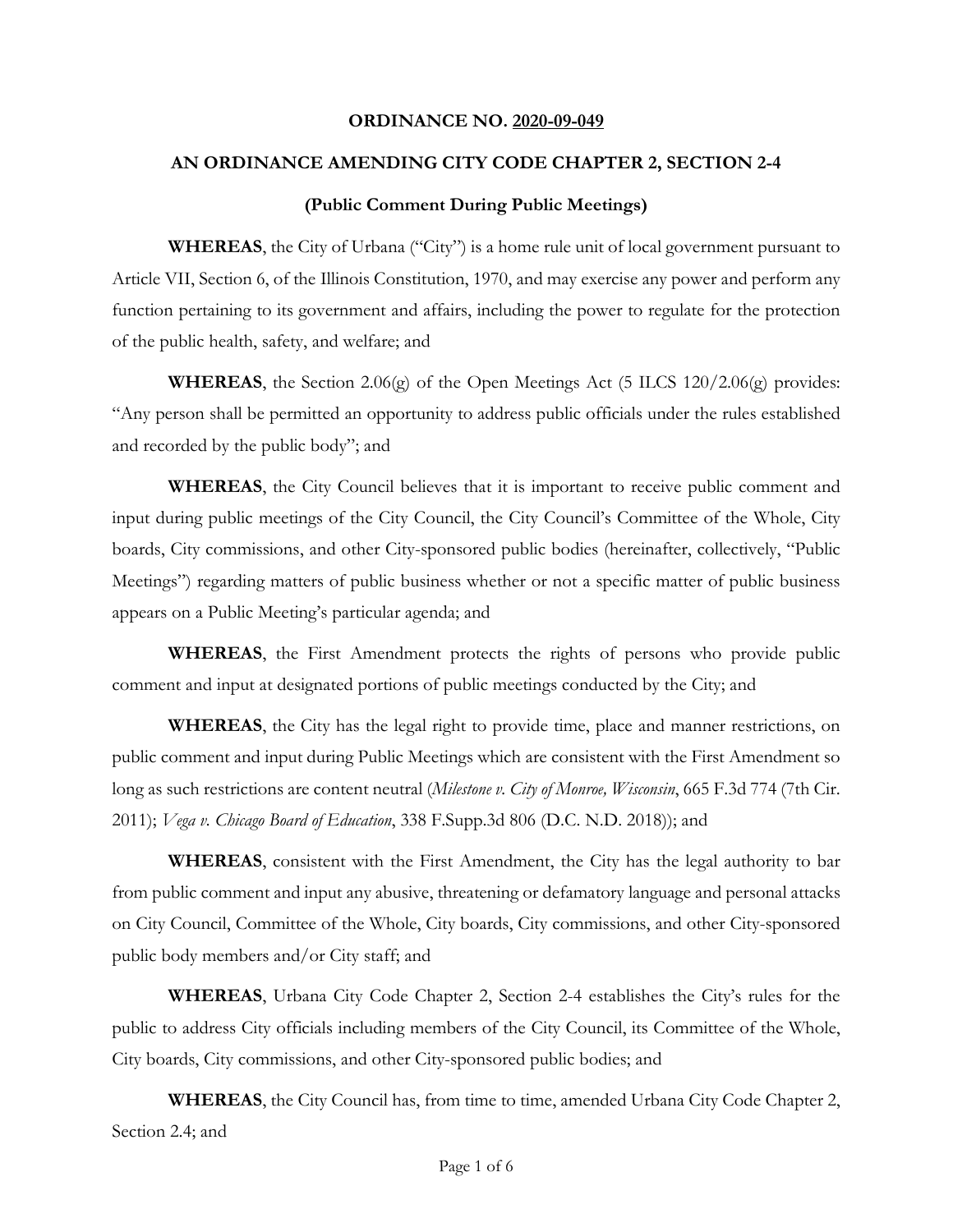### **ORDINANCE NO. 2020-09-049**

### **AN ORDINANCE AMENDING CITY CODE CHAPTER 2, SECTION 2-4**

#### **(Public Comment During Public Meetings)**

**WHEREAS**, the City of Urbana ("City") is a home rule unit of local government pursuant to Article VII, Section 6, of the Illinois Constitution, 1970, and may exercise any power and perform any function pertaining to its government and affairs, including the power to regulate for the protection of the public health, safety, and welfare; and

**WHEREAS**, the Section 2.06(g) of the Open Meetings Act (5 ILCS 120/2.06(g) provides: "Any person shall be permitted an opportunity to address public officials under the rules established and recorded by the public body"; and

**WHEREAS**, the City Council believes that it is important to receive public comment and input during public meetings of the City Council, the City Council's Committee of the Whole, City boards, City commissions, and other City-sponsored public bodies (hereinafter, collectively, "Public Meetings") regarding matters of public business whether or not a specific matter of public business appears on a Public Meeting's particular agenda; and

**WHEREAS**, the First Amendment protects the rights of persons who provide public comment and input at designated portions of public meetings conducted by the City; and

**WHEREAS**, the City has the legal right to provide time, place and manner restrictions, on public comment and input during Public Meetings which are consistent with the First Amendment so long as such restrictions are content neutral (*Milestone v. City of Monroe, Wisconsin*, 665 F.3d 774 (7th Cir. 2011); *Vega v. Chicago Board of Education*, 338 F.Supp.3d 806 (D.C. N.D. 2018)); and

**WHEREAS**, consistent with the First Amendment, the City has the legal authority to bar from public comment and input any abusive, threatening or defamatory language and personal attacks on City Council, Committee of the Whole, City boards, City commissions, and other City-sponsored public body members and/or City staff; and

**WHEREAS**, Urbana City Code Chapter 2, Section 2-4 establishes the City's rules for the public to address City officials including members of the City Council, its Committee of the Whole, City boards, City commissions, and other City-sponsored public bodies; and

**WHEREAS**, the City Council has, from time to time, amended Urbana City Code Chapter 2, Section 2.4; and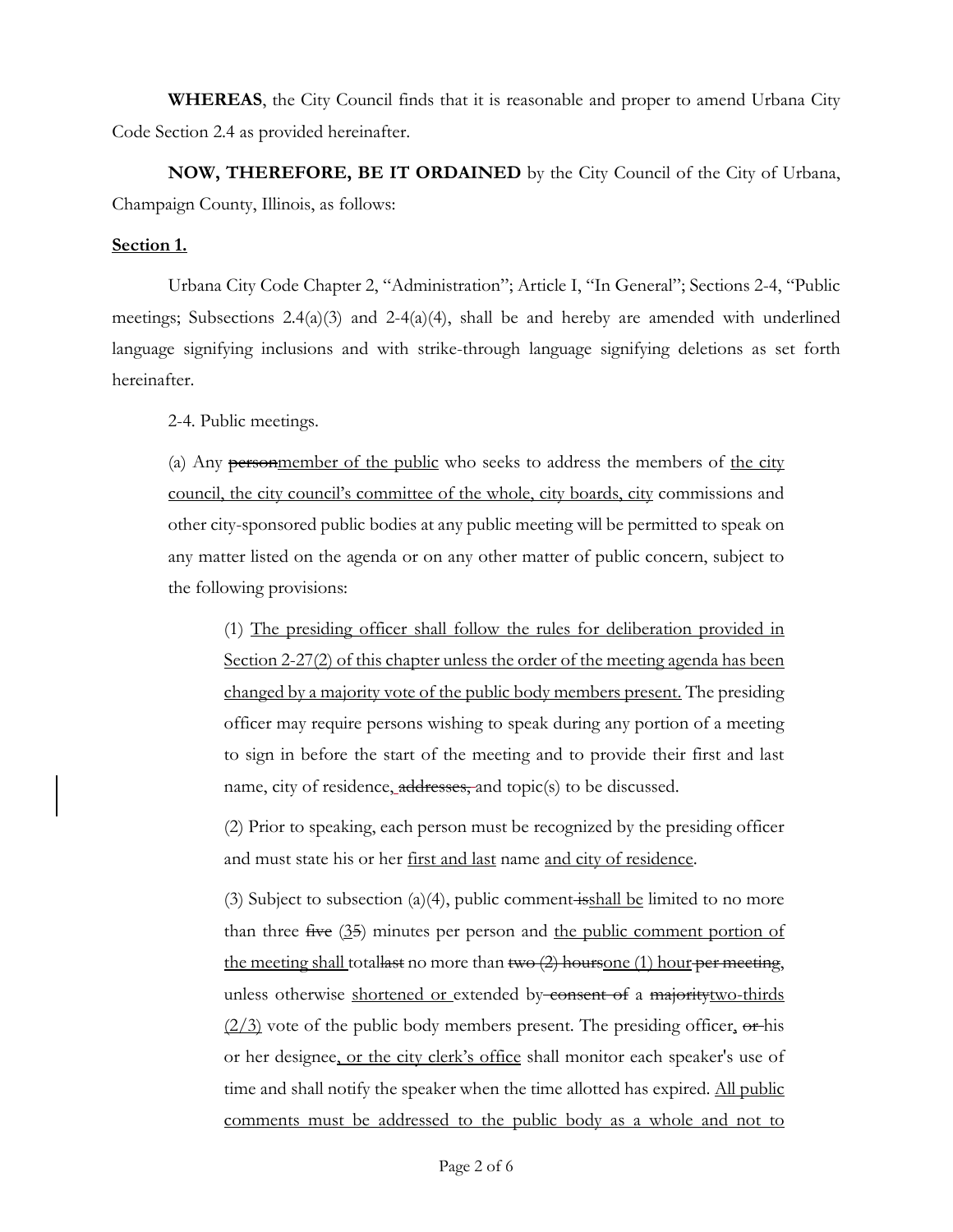**WHEREAS**, the City Council finds that it is reasonable and proper to amend Urbana City Code Section 2.4 as provided hereinafter.

**NOW, THEREFORE, BE IT ORDAINED** by the City Council of the City of Urbana, Champaign County, Illinois, as follows:

## **Section 1.**

Urbana City Code Chapter 2, "Administration"; Article I, "In General"; Sections 2-4, "Public meetings; Subsections 2.4(a)(3) and 2-4(a)(4), shall be and hereby are amended with underlined language signifying inclusions and with strike-through language signifying deletions as set forth hereinafter.

2-4. Public meetings.

(a) Any personmember of the public who seeks to address the members of the city council, the city council's committee of the whole, city boards, city commissions and other city-sponsored public bodies at any public meeting will be permitted to speak on any matter listed on the agenda or on any other matter of public concern, subject to the following provisions:

(1) The presiding officer shall follow the rules for deliberation provided in Section 2-27(2) of this chapter unless the order of the meeting agenda has been changed by a majority vote of the public body members present. The presiding officer may require persons wishing to speak during any portion of a meeting to sign in before the start of the meeting and to provide their first and last name, city of residence, addresses, and topic(s) to be discussed.

(2) Prior to speaking, each person must be recognized by the presiding officer and must state his or her first and last name and city of residence.

(3) Subject to subsection (a)(4), public comment isshall be limited to no more than three  $f^{\text{true}}(35)$  minutes per person and the public comment portion of the meeting shall totallast no more than  $two (2)$  hoursone (1) hour per meeting, unless otherwise shortened or extended by consent of a majoritytwo-thirds  $(2/3)$  vote of the public body members present. The presiding officer, or his or her designee, or the city clerk's office shall monitor each speaker's use of time and shall notify the speaker when the time allotted has expired. All public comments must be addressed to the public body as a whole and not to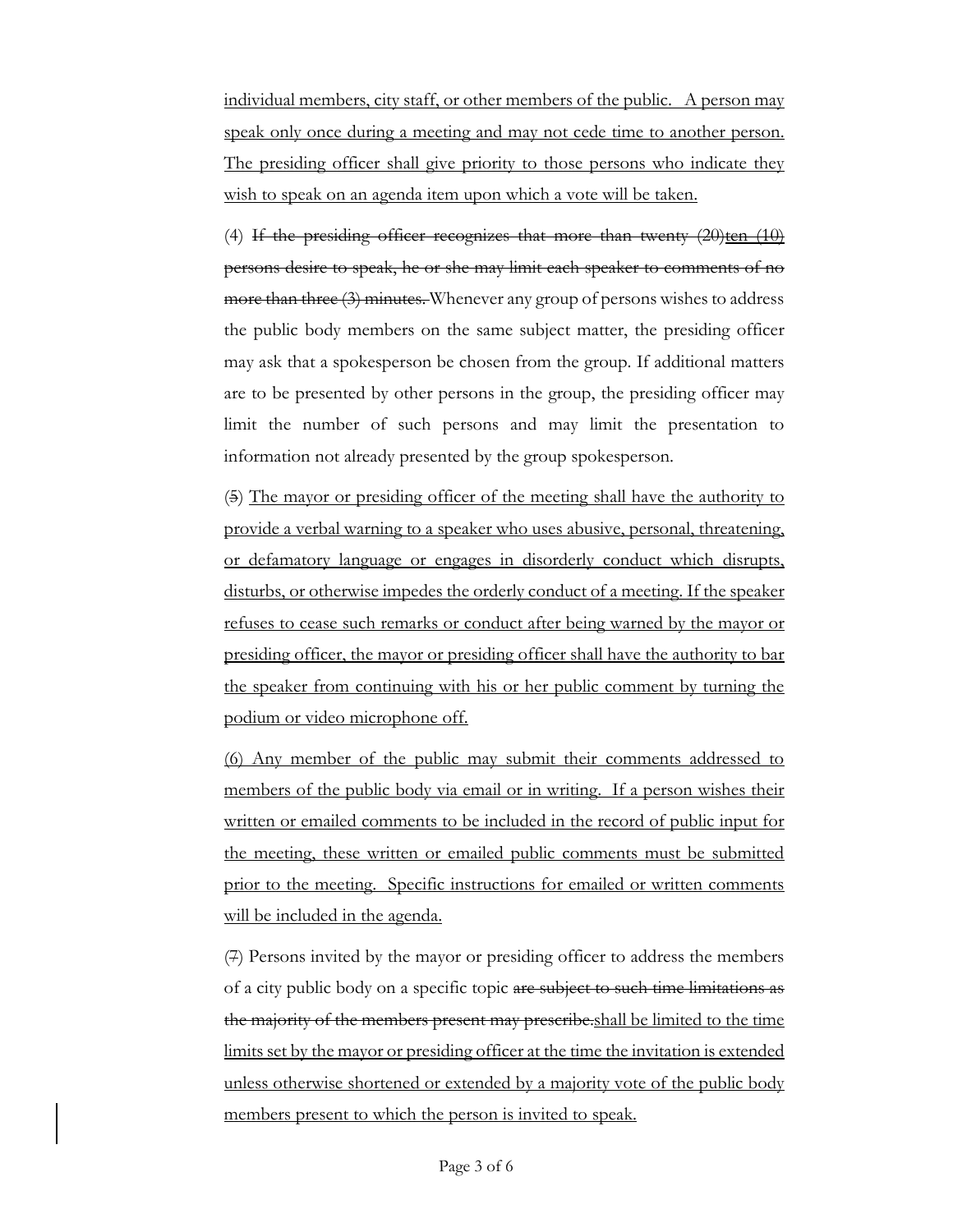individual members, city staff, or other members of the public. A person may speak only once during a meeting and may not cede time to another person. The presiding officer shall give priority to those persons who indicate they wish to speak on an agenda item upon which a vote will be taken.

(4) If the presiding officer recognizes that more than twenty  $(20)$ ten  $(10)$ persons desire to speak, he or she may limit each speaker to comments of no more than three (3) minutes. Whenever any group of persons wishes to address the public body members on the same subject matter, the presiding officer may ask that a spokesperson be chosen from the group. If additional matters are to be presented by other persons in the group, the presiding officer may limit the number of such persons and may limit the presentation to information not already presented by the group spokesperson.

(5) The mayor or presiding officer of the meeting shall have the authority to provide a verbal warning to a speaker who uses abusive, personal, threatening, or defamatory language or engages in disorderly conduct which disrupts, disturbs, or otherwise impedes the orderly conduct of a meeting. If the speaker refuses to cease such remarks or conduct after being warned by the mayor or presiding officer, the mayor or presiding officer shall have the authority to bar the speaker from continuing with his or her public comment by turning the podium or video microphone off.

(6) Any member of the public may submit their comments addressed to members of the public body via email or in writing. If a person wishes their written or emailed comments to be included in the record of public input for the meeting, these written or emailed public comments must be submitted prior to the meeting. Specific instructions for emailed or written comments will be included in the agenda.

(7) Persons invited by the mayor or presiding officer to address the members of a city public body on a specific topic are subject to such time limitations as the majority of the members present may prescribe.shall be limited to the time limits set by the mayor or presiding officer at the time the invitation is extended unless otherwise shortened or extended by a majority vote of the public body members present to which the person is invited to speak.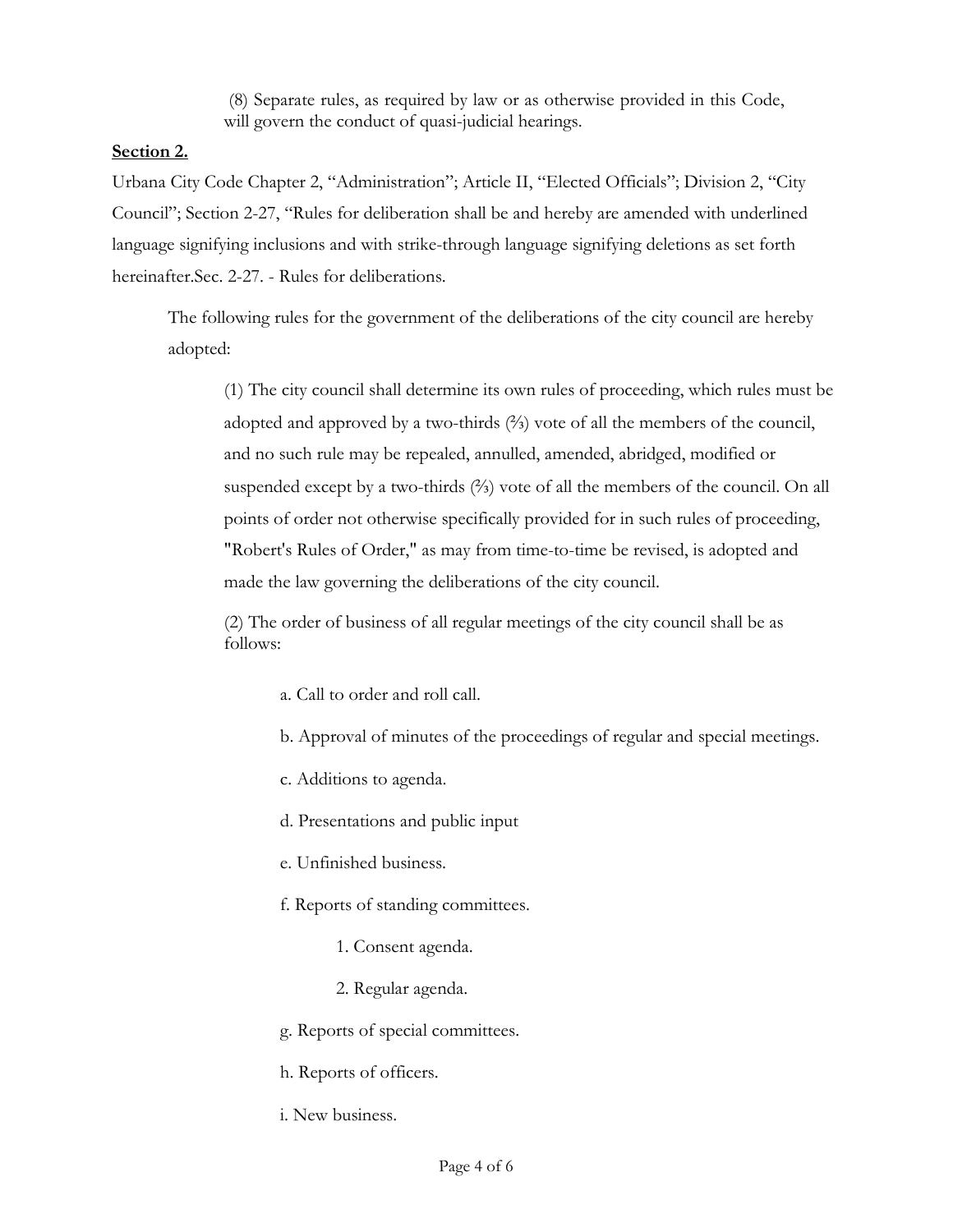(8) Separate rules, as required by law or as otherwise provided in this Code, will govern the conduct of quasi-judicial hearings.

# **Section 2.**

Urbana City Code Chapter 2, "Administration"; Article II, "Elected Officials"; Division 2, "City Council"; Section 2-27, "Rules for deliberation shall be and hereby are amended with underlined language signifying inclusions and with strike-through language signifying deletions as set forth hereinafter.Sec. 2-27. - Rules for deliberations.

The following rules for the government of the deliberations of the city council are hereby adopted:

(1) The city council shall determine its own rules of proceeding, which rules must be adopted and approved by a two-thirds (⅔) vote of all the members of the council, and no such rule may be repealed, annulled, amended, abridged, modified or suspended except by a two-thirds (⅔) vote of all the members of the council. On all points of order not otherwise specifically provided for in such rules of proceeding, "Robert's Rules of Order," as may from time-to-time be revised, is adopted and made the law governing the deliberations of the city council.

(2) The order of business of all regular meetings of the city council shall be as follows:

- a. Call to order and roll call.
- b. Approval of minutes of the proceedings of regular and special meetings.
- c. Additions to agenda.
- d. Presentations and public input
- e. Unfinished business.
- f. Reports of standing committees.
	- 1. Consent agenda.
	- 2. Regular agenda.
- g. Reports of special committees.
- h. Reports of officers.
- i. New business.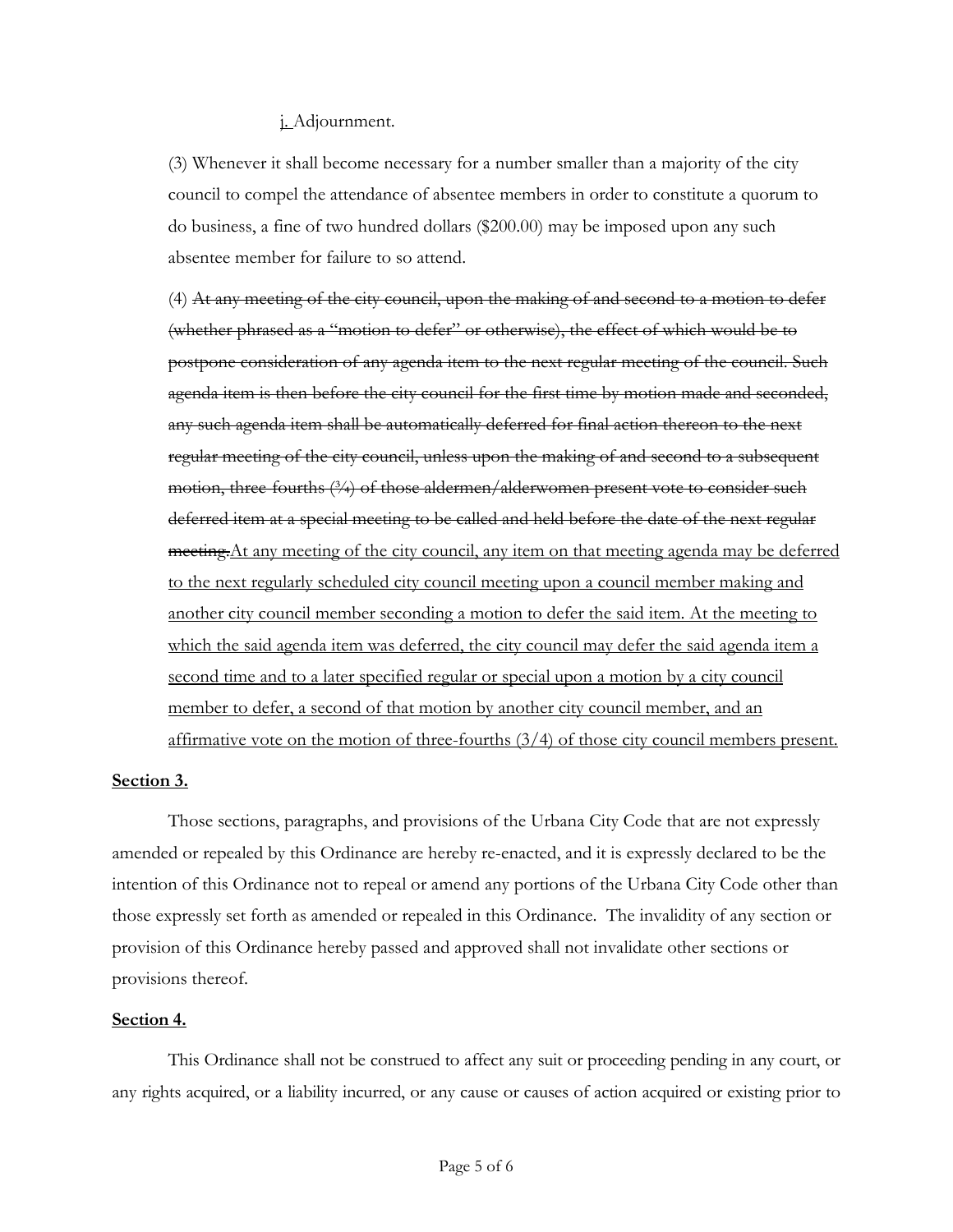### j. Adjournment.

(3) Whenever it shall become necessary for a number smaller than a majority of the city council to compel the attendance of absentee members in order to constitute a quorum to do business, a fine of two hundred dollars (\$200.00) may be imposed upon any such absentee member for failure to so attend.

(4) At any meeting of the city council, upon the making of and second to a motion to defer (whether phrased as a "motion to defer" or otherwise), the effect of which would be to postpone consideration of any agenda item to the next regular meeting of the council. Such agenda item is then before the city council for the first time by motion made and seconded, any such agenda item shall be automatically deferred for final action thereon to the next regular meeting of the city council, unless upon the making of and second to a subsequent motion, three-fourths (3/4) of those aldermen/alderwomen present vote to consider such deferred item at a special meeting to be called and held before the date of the next regular meeting.At any meeting of the city council, any item on that meeting agenda may be deferred to the next regularly scheduled city council meeting upon a council member making and another city council member seconding a motion to defer the said item. At the meeting to which the said agenda item was deferred, the city council may defer the said agenda item a second time and to a later specified regular or special upon a motion by a city council member to defer, a second of that motion by another city council member, and an affirmative vote on the motion of three-fourths (3/4) of those city council members present.

### **Section 3.**

Those sections, paragraphs, and provisions of the Urbana City Code that are not expressly amended or repealed by this Ordinance are hereby re-enacted, and it is expressly declared to be the intention of this Ordinance not to repeal or amend any portions of the Urbana City Code other than those expressly set forth as amended or repealed in this Ordinance. The invalidity of any section or provision of this Ordinance hereby passed and approved shall not invalidate other sections or provisions thereof.

## **Section 4.**

This Ordinance shall not be construed to affect any suit or proceeding pending in any court, or any rights acquired, or a liability incurred, or any cause or causes of action acquired or existing prior to